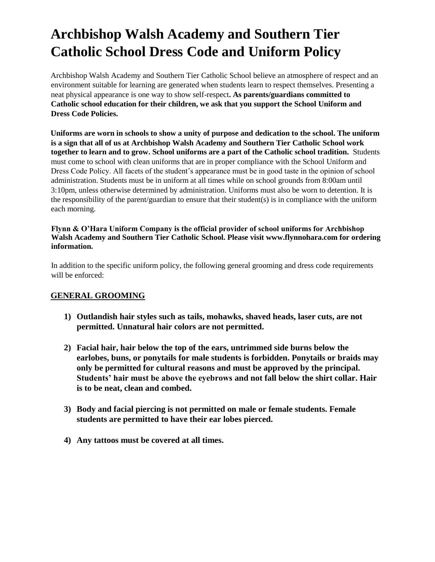# **Archbishop Walsh Academy and Southern Tier Catholic School Dress Code and Uniform Policy**

Archbishop Walsh Academy and Southern Tier Catholic School believe an atmosphere of respect and an environment suitable for learning are generated when students learn to respect themselves. Presenting a neat physical appearance is one way to show self-respect**. As parents/guardians committed to Catholic school education for their children, we ask that you support the School Uniform and Dress Code Policies.** 

**Uniforms are worn in schools to show a unity of purpose and dedication to the school. The uniform is a sign that all of us at Archbishop Walsh Academy and Southern Tier Catholic School work together to learn and to grow. School uniforms are a part of the Catholic school tradition.** Students must come to school with clean uniforms that are in proper compliance with the School Uniform and Dress Code Policy. All facets of the student's appearance must be in good taste in the opinion of school administration. Students must be in uniform at all times while on school grounds from 8:00am until 3:10pm, unless otherwise determined by administration. Uniforms must also be worn to detention. It is the responsibility of the parent/guardian to ensure that their student(s) is in compliance with the uniform each morning.

#### **Flynn & O'Hara Uniform Company is the official provider of school uniforms for Archbishop Walsh Academy and Southern Tier Catholic School. Please visit www.flynnohara.com for ordering information.**

In addition to the specific uniform policy, the following general grooming and dress code requirements will be enforced:

#### **GENERAL GROOMING**

- **1) Outlandish hair styles such as tails, mohawks, shaved heads, laser cuts, are not permitted. Unnatural hair colors are not permitted.**
- **2) Facial hair, hair below the top of the ears, untrimmed side burns below the earlobes, buns, or ponytails for male students is forbidden. Ponytails or braids may only be permitted for cultural reasons and must be approved by the principal. Students' hair must be above the eyebrows and not fall below the shirt collar. Hair is to be neat, clean and combed.**
- **3) Body and facial piercing is not permitted on male or female students. Female students are permitted to have their ear lobes pierced.**
- **4) Any tattoos must be covered at all times.**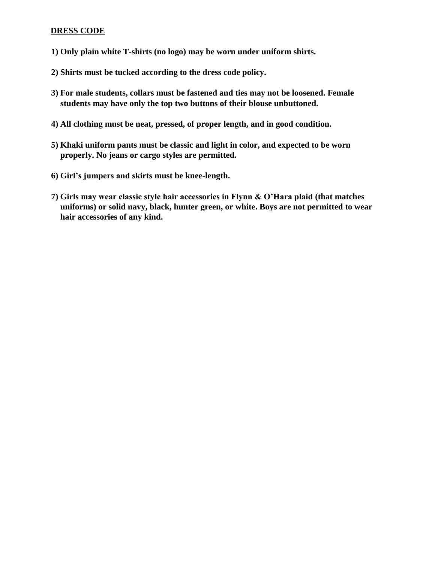#### **DRESS CODE**

- **1) Only plain white T-shirts (no logo) may be worn under uniform shirts.**
- **2) Shirts must be tucked according to the dress code policy.**
- **3) For male students, collars must be fastened and ties may not be loosened. Female students may have only the top two buttons of their blouse unbuttoned.**
- **4) All clothing must be neat, pressed, of proper length, and in good condition.**
- **5) Khaki uniform pants must be classic and light in color, and expected to be worn properly. No jeans or cargo styles are permitted.**
- **6) Girl's jumpers and skirts must be knee-length.**
- **7) Girls may wear classic style hair accessories in Flynn & O'Hara plaid (that matches uniforms) or solid navy, black, hunter green, or white. Boys are not permitted to wear hair accessories of any kind.**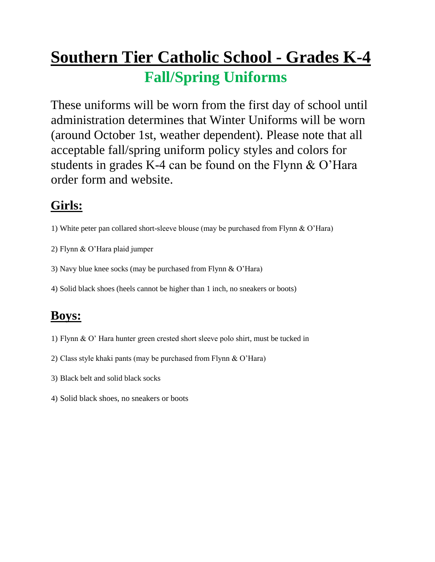# **Southern Tier Catholic School - Grades K-4 Fall/Spring Uniforms**

These uniforms will be worn from the first day of school until administration determines that Winter Uniforms will be worn (around October 1st, weather dependent). Please note that all acceptable fall/spring uniform policy styles and colors for students in grades K-4 can be found on the Flynn & O'Hara order form and website.

### **Girls:**

- 1) White peter pan collared short-sleeve blouse (may be purchased from Flynn & O'Hara)
- 2) Flynn & O'Hara plaid jumper
- 3) Navy blue knee socks (may be purchased from Flynn & O'Hara)
- 4) Solid black shoes (heels cannot be higher than 1 inch, no sneakers or boots)

- 1) Flynn & O' Hara hunter green crested short sleeve polo shirt, must be tucked in
- 2) Class style khaki pants (may be purchased from Flynn & O'Hara)
- 3) Black belt and solid black socks
- 4) Solid black shoes, no sneakers or boots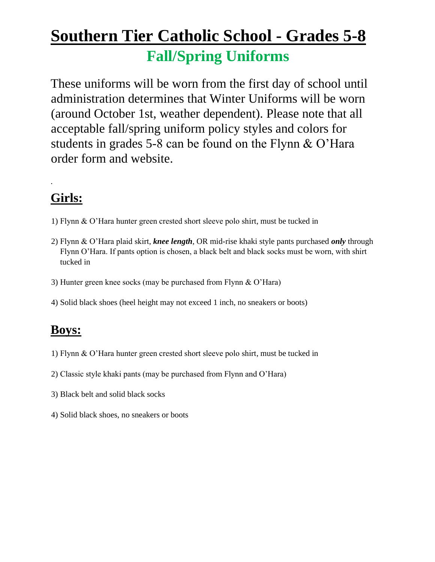# **Southern Tier Catholic School - Grades 5-8 Fall/Spring Uniforms**

These uniforms will be worn from the first day of school until administration determines that Winter Uniforms will be worn (around October 1st, weather dependent). Please note that all acceptable fall/spring uniform policy styles and colors for students in grades 5-8 can be found on the Flynn & O'Hara order form and website.

# **Girls:**

.

- 1) Flynn & O'Hara hunter green crested short sleeve polo shirt, must be tucked in
- 2) Flynn & O'Hara plaid skirt, *knee length*, OR mid-rise khaki style pants purchased *only* through Flynn O'Hara. If pants option is chosen, a black belt and black socks must be worn, with shirt tucked in
- 3) Hunter green knee socks (may be purchased from Flynn & O'Hara)
- 4) Solid black shoes (heel height may not exceed 1 inch, no sneakers or boots)

- 1) Flynn & O'Hara hunter green crested short sleeve polo shirt, must be tucked in
- 2) Classic style khaki pants (may be purchased from Flynn and O'Hara)
- 3) Black belt and solid black socks
- 4) Solid black shoes, no sneakers or boots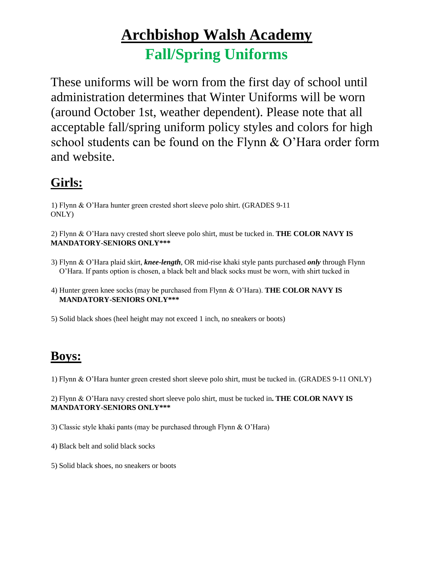# **Archbishop Walsh Academy Fall/Spring Uniforms**

These uniforms will be worn from the first day of school until administration determines that Winter Uniforms will be worn (around October 1st, weather dependent). Please note that all acceptable fall/spring uniform policy styles and colors for high school students can be found on the Flynn & O'Hara order form and website.

### **Girls:**

1) Flynn & O'Hara hunter green crested short sleeve polo shirt. (GRADES 9-11 ONLY)

2) Flynn & O'Hara navy crested short sleeve polo shirt, must be tucked in. **THE COLOR NAVY IS MANDATORY-SENIORS ONLY\*\*\***

- 3) Flynn & O'Hara plaid skirt, *knee-length*, OR mid-rise khaki style pants purchased *only* through Flynn O'Hara. If pants option is chosen, a black belt and black socks must be worn, with shirt tucked in
- 4) Hunter green knee socks (may be purchased from Flynn & O'Hara). **THE COLOR NAVY IS MANDATORY-SENIORS ONLY\*\*\***

5) Solid black shoes (heel height may not exceed 1 inch, no sneakers or boots)

### **Boys:**

1) Flynn & O'Hara hunter green crested short sleeve polo shirt, must be tucked in. (GRADES 9-11 ONLY)

2) Flynn & O'Hara navy crested short sleeve polo shirt, must be tucked in**. THE COLOR NAVY IS MANDATORY-SENIORS ONLY\*\*\***

3) Classic style khaki pants (may be purchased through Flynn & O'Hara)

- 4) Black belt and solid black socks
- 5) Solid black shoes, no sneakers or boots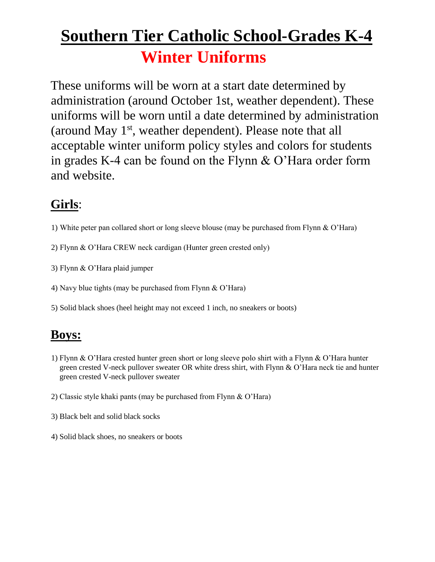# **Southern Tier Catholic School-Grades K-4 Winter Uniforms**

These uniforms will be worn at a start date determined by administration (around October 1st, weather dependent). These uniforms will be worn until a date determined by administration (around May 1st, weather dependent). Please note that all acceptable winter uniform policy styles and colors for students in grades K-4 can be found on the Flynn & O'Hara order form and website.

### **Girls**:

- 1) White peter pan collared short or long sleeve blouse (may be purchased from Flynn & O'Hara)
- 2) Flynn & O'Hara CREW neck cardigan (Hunter green crested only)
- 3) Flynn & O'Hara plaid jumper
- 4) Navy blue tights (may be purchased from Flynn & O'Hara)
- 5) Solid black shoes (heel height may not exceed 1 inch, no sneakers or boots)

- 1) Flynn & O'Hara crested hunter green short or long sleeve polo shirt with a Flynn & O'Hara hunter green crested V-neck pullover sweater OR white dress shirt, with Flynn & O'Hara neck tie and hunter green crested V-neck pullover sweater
- 2) Classic style khaki pants (may be purchased from Flynn & O'Hara)
- 3) Black belt and solid black socks
- 4) Solid black shoes, no sneakers or boots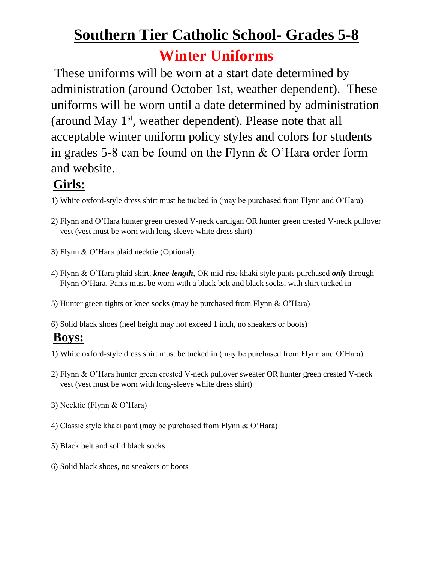# **Southern Tier Catholic School- Grades 5-8**

# **Winter Uniforms**

These uniforms will be worn at a start date determined by administration (around October 1st, weather dependent). These uniforms will be worn until a date determined by administration (around May 1st, weather dependent). Please note that all acceptable winter uniform policy styles and colors for students in grades 5-8 can be found on the Flynn & O'Hara order form and website.

### **Girls:**

- 1) White oxford-style dress shirt must be tucked in (may be purchased from Flynn and O'Hara)
- 2) Flynn and O'Hara hunter green crested V-neck cardigan OR hunter green crested V-neck pullover vest (vest must be worn with long-sleeve white dress shirt)
- 3) Flynn & O'Hara plaid necktie (Optional)
- 4) Flynn & O'Hara plaid skirt, *knee-length*, OR mid-rise khaki style pants purchased *only* through Flynn O'Hara. Pants must be worn with a black belt and black socks, with shirt tucked in
- 5) Hunter green tights or knee socks (may be purchased from Flynn & O'Hara)
- 6) Solid black shoes (heel height may not exceed 1 inch, no sneakers or boots)

- 1) White oxford-style dress shirt must be tucked in (may be purchased from Flynn and O'Hara)
- 2) Flynn & O'Hara hunter green crested V-neck pullover sweater OR hunter green crested V-neck vest (vest must be worn with long-sleeve white dress shirt)
- 3) Necktie (Flynn & O'Hara)
- 4) Classic style khaki pant (may be purchased from Flynn & O'Hara)
- 5) Black belt and solid black socks
- 6) Solid black shoes, no sneakers or boots Ĩ